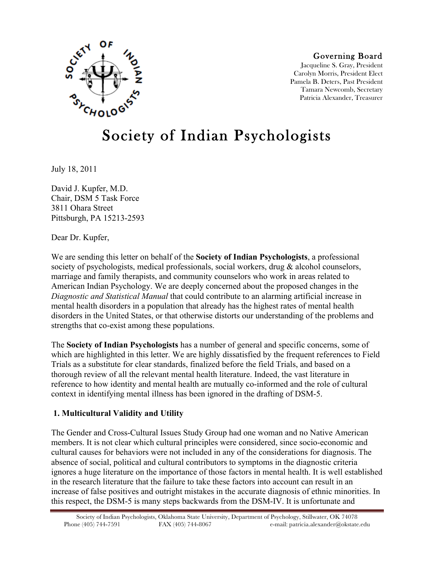

#### Governing Board

Jacqueline S. Gray, President Carolyn Morris, President Elect Pamela B. Deters, Past President Tamara Newcomb, Secretary Patricia Alexander, Treasurer

# Society of Indian Psychologists

July 18, 2011

David J. Kupfer, M.D. Chair, DSM 5 Task Force 3811 Ohara Street Pittsburgh, PA 15213-2593

Dear Dr. Kupfer,

We are sending this letter on behalf of the **Society of Indian Psychologists**, a professional society of psychologists, medical professionals, social workers, drug & alcohol counselors, marriage and family therapists, and community counselors who work in areas related to American Indian Psychology. We are deeply concerned about the proposed changes in the *Diagnostic and Statistical Manual* that could contribute to an alarming artificial increase in mental health disorders in a population that already has the highest rates of mental health disorders in the United States, or that otherwise distorts our understanding of the problems and strengths that co-exist among these populations.

The **Society of Indian Psychologists** has a number of general and specific concerns, some of which are highlighted in this letter. We are highly dissatisfied by the frequent references to Field Trials as a substitute for clear standards, finalized before the field Trials, and based on a thorough review of all the relevant mental health literature. Indeed, the vast literature in reference to how identity and mental health are mutually co-informed and the role of cultural context in identifying mental illness has been ignored in the drafting of DSM-5.

#### **1. Multicultural Validity and Utility**

The Gender and Cross-Cultural Issues Study Group had one woman and no Native American members. It is not clear which cultural principles were considered, since socio-economic and cultural causes for behaviors were not included in any of the considerations for diagnosis. The absence of social, political and cultural contributors to symptoms in the diagnostic criteria ignores a huge literature on the importance of those factors in mental health. It is well established in the research literature that the failure to take these factors into account can result in an increase of false positives and outright mistakes in the accurate diagnosis of ethnic minorities. In this respect, the DSM-5 is many steps backwards from the DSM-IV. It is unfortunate and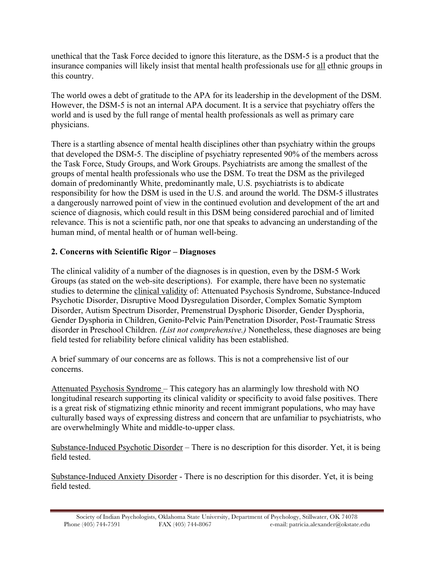unethical that the Task Force decided to ignore this literature, as the DSM-5 is a product that the insurance companies will likely insist that mental health professionals use for all ethnic groups in this country.

The world owes a debt of gratitude to the APA for its leadership in the development of the DSM. However, the DSM-5 is not an internal APA document. It is a service that psychiatry offers the world and is used by the full range of mental health professionals as well as primary care physicians.

There is a startling absence of mental health disciplines other than psychiatry within the groups that developed the DSM-5. The discipline of psychiatry represented 90% of the members across the Task Force, Study Groups, and Work Groups. Psychiatrists are among the smallest of the groups of mental health professionals who use the DSM. To treat the DSM as the privileged domain of predominantly White, predominantly male, U.S. psychiatrists is to abdicate responsibility for how the DSM is used in the U.S. and around the world. The DSM-5 illustrates a dangerously narrowed point of view in the continued evolution and development of the art and science of diagnosis, which could result in this DSM being considered parochial and of limited relevance. This is not a scientific path, nor one that speaks to advancing an understanding of the human mind, of mental health or of human well-being.

## **2. Concerns with Scientific Rigor – Diagnoses**

The clinical validity of a number of the diagnoses is in question, even by the DSM-5 Work Groups (as stated on the web-site descriptions). For example, there have been no systematic studies to determine the clinical validity of: Attenuated Psychosis Syndrome, Substance-Induced Psychotic Disorder, Disruptive Mood Dysregulation Disorder, Complex Somatic Symptom Disorder, Autism Spectrum Disorder, Premenstrual Dysphoric Disorder, Gender Dysphoria, Gender Dysphoria in Children, Genito-Pelvic Pain/Penetration Disorder, Post-Traumatic Stress disorder in Preschool Children. *(List not comprehensive.)* Nonetheless, these diagnoses are being field tested for reliability before clinical validity has been established.

A brief summary of our concerns are as follows. This is not a comprehensive list of our concerns.

Attenuated Psychosis Syndrome – This category has an alarmingly low threshold with NO longitudinal research supporting its clinical validity or specificity to avoid false positives. There is a great risk of stigmatizing ethnic minority and recent immigrant populations, who may have culturally based ways of expressing distress and concern that are unfamiliar to psychiatrists, who are overwhelmingly White and middle-to-upper class.

Substance-Induced Psychotic Disorder – There is no description for this disorder. Yet, it is being field tested.

Substance-Induced Anxiety Disorder - There is no description for this disorder. Yet, it is being field tested.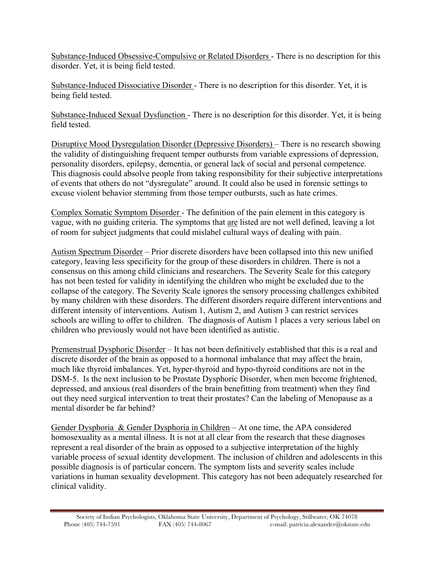Substance-Induced Obsessive-Compulsive or Related Disorders - There is no description for this disorder. Yet, it is being field tested.

Substance-Induced Dissociative Disorder - There is no description for this disorder. Yet, it is being field tested.

Substance-Induced Sexual Dysfunction - There is no description for this disorder. Yet, it is being field tested.

Disruptive Mood Dysregulation Disorder (Depressive Disorders) – There is no research showing the validity of distinguishing frequent temper outbursts from variable expressions of depression, personality disorders, epilepsy, dementia, or general lack of social and personal competence. This diagnosis could absolve people from taking responsibility for their subjective interpretations of events that others do not "dysregulate" around. It could also be used in forensic settings to excuse violent behavior stemming from those temper outbursts, such as hate crimes.

Complex Somatic Symptom Disorder - The definition of the pain element in this category is vague, with no guiding criteria. The symptoms that are listed are not well defined, leaving a lot of room for subject judgments that could mislabel cultural ways of dealing with pain.

Autism Spectrum Disorder – Prior discrete disorders have been collapsed into this new unified category, leaving less specificity for the group of these disorders in children. There is not a consensus on this among child clinicians and researchers. The Severity Scale for this category has not been tested for validity in identifying the children who might be excluded due to the collapse of the category. The Severity Scale ignores the sensory processing challenges exhibited by many children with these disorders. The different disorders require different interventions and different intensity of interventions. Autism 1, Autism 2, and Autism 3 can restrict services schools are willing to offer to children. The diagnosis of Autism 1 places a very serious label on children who previously would not have been identified as autistic.

Premenstrual Dysphoric Disorder – It has not been definitively established that this is a real and discrete disorder of the brain as opposed to a hormonal imbalance that may affect the brain, much like thyroid imbalances. Yet, hyper-thyroid and hypo-thyroid conditions are not in the DSM-5. Is the next inclusion to be Prostate Dysphoric Disorder, when men become frightened, depressed, and anxious (real disorders of the brain benefitting from treatment) when they find out they need surgical intervention to treat their prostates? Can the labeling of Menopause as a mental disorder be far behind?

Gender Dysphoria & Gender Dysphoria in Children – At one time, the APA considered homosexuality as a mental illness. It is not at all clear from the research that these diagnoses represent a real disorder of the brain as opposed to a subjective interpretation of the highly variable process of sexual identity development. The inclusion of children and adolescents in this possible diagnosis is of particular concern. The symptom lists and severity scales include variations in human sexuality development. This category has not been adequately researched for clinical validity.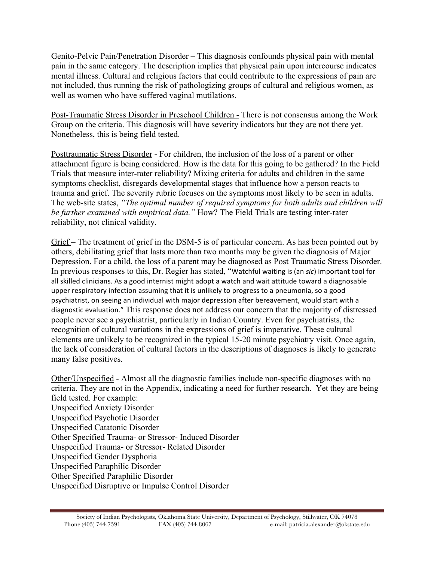Genito-Pelvic Pain/Penetration Disorder – This diagnosis confounds physical pain with mental pain in the same category. The description implies that physical pain upon intercourse indicates mental illness. Cultural and religious factors that could contribute to the expressions of pain are not included, thus running the risk of pathologizing groups of cultural and religious women, as well as women who have suffered vaginal mutilations.

Post-Traumatic Stress Disorder in Preschool Children - There is not consensus among the Work Group on the criteria. This diagnosis will have severity indicators but they are not there yet. Nonetheless, this is being field tested.

Posttraumatic Stress Disorder - For children, the inclusion of the loss of a parent or other attachment figure is being considered. How is the data for this going to be gathered? In the Field Trials that measure inter-rater reliability? Mixing criteria for adults and children in the same symptoms checklist, disregards developmental stages that influence how a person reacts to trauma and grief. The severity rubric focuses on the symptoms most likely to be seen in adults. The web-site states, *"The optimal number of required symptoms for both adults and children will be further examined with empirical data."* How? The Field Trials are testing inter-rater reliability, not clinical validity.

Grief – The treatment of grief in the DSM-5 is of particular concern. As has been pointed out by others, debilitating grief that lasts more than two months may be given the diagnosis of Major Depression. For a child, the loss of a parent may be diagnosed as Post Traumatic Stress Disorder. In previous responses to this, Dr. Regier has stated, "Watchful waiting is (an *sic*) important tool for all skilled clinicians. As a good internist might adopt a watch and wait attitude toward a diagnosable upper respiratory infection assuming that it is unlikely to progress to a pneumonia, so a good psychiatrist, on seeing an individual with major depression after bereavement, would start with a diagnostic)evaluation.")This response does not address our concern that the majority of distressed people never see a psychiatrist, particularly in Indian Country. Even for psychiatrists, the recognition of cultural variations in the expressions of grief is imperative. These cultural elements are unlikely to be recognized in the typical 15-20 minute psychiatry visit. Once again, the lack of consideration of cultural factors in the descriptions of diagnoses is likely to generate many false positives.

Other/Unspecified - Almost all the diagnostic families include non-specific diagnoses with no criteria. They are not in the Appendix, indicating a need for further research. Yet they are being field tested. For example: Unspecified Anxiety Disorder Unspecified Psychotic Disorder Unspecified Catatonic Disorder Other Specified Trauma- or Stressor- Induced Disorder Unspecified Trauma- or Stressor- Related Disorder Unspecified Gender Dysphoria Unspecified Paraphilic Disorder Other Specified Paraphilic Disorder Unspecified Disruptive or Impulse Control Disorder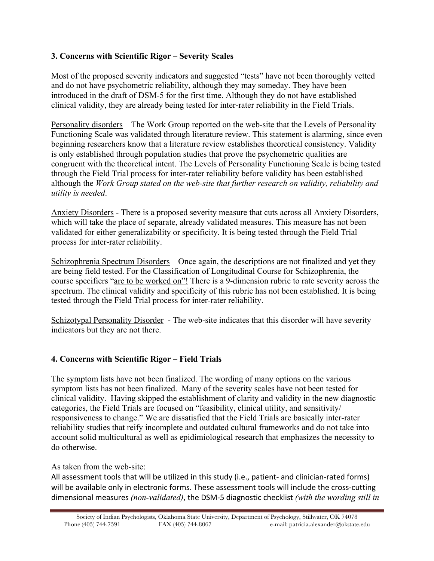#### **3. Concerns with Scientific Rigor – Severity Scales**

Most of the proposed severity indicators and suggested "tests" have not been thoroughly vetted and do not have psychometric reliability, although they may someday. They have been introduced in the draft of DSM-5 for the first time. Although they do not have established clinical validity, they are already being tested for inter-rater reliability in the Field Trials.

Personality disorders – The Work Group reported on the web-site that the Levels of Personality Functioning Scale was validated through literature review. This statement is alarming, since even beginning researchers know that a literature review establishes theoretical consistency. Validity is only established through population studies that prove the psychometric qualities are congruent with the theoretical intent. The Levels of Personality Functioning Scale is being tested through the Field Trial process for inter-rater reliability before validity has been established although the *Work Group stated on the web-site that further research on validity, reliability and utility is needed*.

Anxiety Disorders - There is a proposed severity measure that cuts across all Anxiety Disorders, which will take the place of separate, already validated measures. This measure has not been validated for either generalizability or specificity. It is being tested through the Field Trial process for inter-rater reliability.

Schizophrenia Spectrum Disorders – Once again, the descriptions are not finalized and yet they are being field tested. For the Classification of Longitudinal Course for Schizophrenia, the course specifiers "are to be worked on"! There is a 9-dimension rubric to rate severity across the spectrum. The clinical validity and specificity of this rubric has not been established. It is being tested through the Field Trial process for inter-rater reliability.

Schizotypal Personality Disorder - The web-site indicates that this disorder will have severity indicators but they are not there.

#### **4. Concerns with Scientific Rigor – Field Trials**

The symptom lists have not been finalized. The wording of many options on the various symptom lists has not been finalized. Many of the severity scales have not been tested for clinical validity. Having skipped the establishment of clarity and validity in the new diagnostic categories, the Field Trials are focused on "feasibility, clinical utility, and sensitivity/ responsiveness to change." We are dissatisfied that the Field Trials are basically inter-rater reliability studies that reify incomplete and outdated cultural frameworks and do not take into account solid multicultural as well as epidimiological research that emphasizes the necessity to do otherwise.

#### As taken from the web-site:

All assessment tools that will be utilized in this study (i.e., patient- and clinician-rated forms) will be available only in electronic forms. These assessment tools will include the cross-cutting dimensional measures (non-validated), the DSM-5 diagnostic checklist (with the wording still in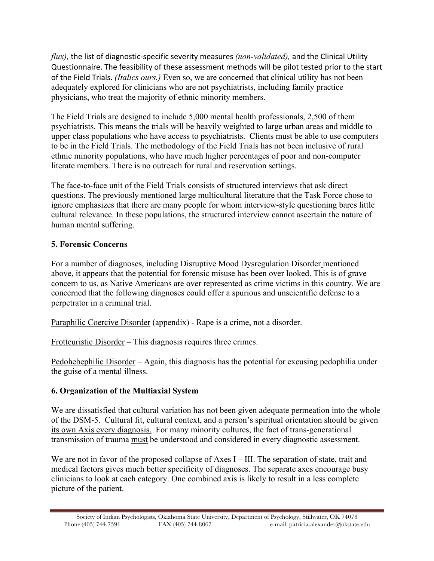*flux*), the list of diagnostic-specific severity measures *(non-validated)*, and the Clinical Utility Questionnaire. The feasibility of these assessment methods will be pilot tested prior to the start of the Field Trials. *(Italics ours.)* Even so, we are concerned that clinical utility has not been adequately explored for clinicians who are not psychiatrists, including family practice physicians, who treat the majority of ethnic minority members.

The Field Trials are designed to include 5,000 mental health professionals, 2,500 of them psychiatrists. This means the trials will be heavily weighted to large urban areas and middle to upper class populations who have access to psychiatrists. Clients must be able to use computers to be in the Field Trials. The methodology of the Field Trials has not been inclusive of rural ethnic minority populations, who have much higher percentages of poor and non-computer literate members. There is no outreach for rural and reservation settings.

The face-to-face unit of the Field Trials consists of structured interviews that ask direct questions. The previously mentioned large multicultural literature that the Task Force chose to ignore emphasizes that there are many people for whom interview-style questioning bares little cultural relevance. In these populations, the structured interview cannot ascertain the nature of human mental suffering.

### **5. Forensic Concerns**

For a number of diagnoses, including Disruptive Mood Dysregulation Disorder mentioned above, it appears that the potential for forensic misuse has been over looked. This is of grave concern to us, as Native Americans are over represented as crime victims in this country. We are concerned that the following diagnoses could offer a spurious and unscientific defense to a perpetrator in a criminal trial.

Paraphilic Coercive Disorder (appendix) - Rape is a crime, not a disorder.

Frotteuristic Disorder – This diagnosis requires three crimes.

Pedohebephilic Disorder – Again, this diagnosis has the potential for excusing pedophilia under the guise of a mental illness.

# **6. Organization of the Multiaxial System**

We are dissatisfied that cultural variation has not been given adequate permeation into the whole of the DSM-5. Cultural fit, cultural context, and a person's spiritual orientation should be given its own Axis every diagnosis. For many minority cultures, the fact of trans-generational transmission of trauma must be understood and considered in every diagnostic assessment.

We are not in favor of the proposed collapse of Axes I – III. The separation of state, trait and medical factors gives much better specificity of diagnoses. The separate axes encourage busy clinicians to look at each category. One combined axis is likely to result in a less complete picture of the patient.